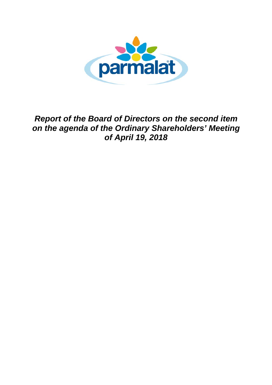

*Report of the Board of Directors on the second item on the agenda of the Ordinary Shareholders' Meeting of April 19, 2018*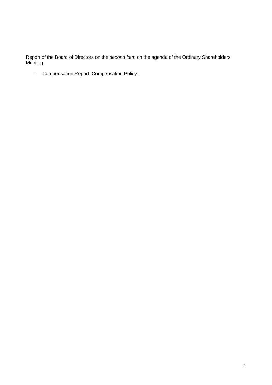Report of the Board of Directors on the *second item* on the agenda of the Ordinary Shareholders' Meeting:

- Compensation Report: Compensation Policy.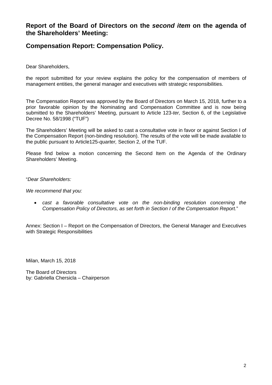### **Report of the Board of Directors on the** *second item* **on the agenda of the Shareholders' Meeting:**

### **Compensation Report: Compensation Policy.**

Dear Shareholders,

the report submitted for your review explains the policy for the compensation of members of management entities, the general manager and executives with strategic responsibilities.

The Compensation Report was approved by the Board of Directors on March 15, 2018, further to a prior favorable opinion by the Nominating and Compensation Committee and is now being submitted to the Shareholders' Meeting, pursuant to Article 123-*ter,* Section 6, of the Legislative Decree No. 58/1998 ("TUF")

The Shareholders' Meeting will be asked to cast a consultative vote in favor or against Section I of the Compensation Report (non-binding resolution). The results of the vote will be made available to the public pursuant to Article125-*quarter,* Section 2, of the TUF.

Please find below a motion concerning the Second Item on the Agenda of the Ordinary Shareholders' Meeting.

#### "*Dear Shareholders:*

#### *We recommend that you:*

• cast a favorable consultative vote on the non-binding resolution concerning the *Compensation Policy of Directors, as set forth in Section I of the Compensation Report.*"

Annex: Section I – Report on the Compensation of Directors, the General Manager and Executives with Strategic Responsibilities

Milan, March 15, 2018

The Board of Directors by: Gabriella Chersicla – Chairperson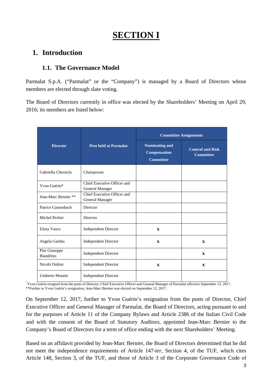# **SECTION I**

### **1. Introduction**

### **1.1. The Governance Model**

Parmalat S.p.A. ("Parmalat" or the "Company") is managed by a Board of Directors whose members are elected through slate voting.

The Board of Directors currently in office was elected by the Shareholders' Meeting on April 29, 2016; its members are listed below:

|                            |                                                | <b>Committee Assignments</b>                                     |                                             |
|----------------------------|------------------------------------------------|------------------------------------------------------------------|---------------------------------------------|
| <b>Director</b>            | <b>Post held at Parmalat</b>                   | <b>Nominating and</b><br><b>Compensation</b><br><b>Committee</b> | <b>Control and Risk</b><br><b>Committee</b> |
| Gabriella Chersicla        | Chairperson                                    |                                                                  |                                             |
| Yvon Guérin*               | Chief Executive Officer and<br>General Manager |                                                                  |                                             |
| Jean-Marc Bernier **       | Chief Executive Officer and<br>General Manager |                                                                  |                                             |
| Patrice Gassenbach         | Director                                       |                                                                  |                                             |
| Michel Peslier             | Director                                       |                                                                  |                                             |
| Elena Vasco                | <b>Independent Director</b>                    | $\mathbf{x}$                                                     |                                             |
| Angela Gamba               | <b>Independent Director</b>                    | $\mathbf{x}$                                                     | $\mathbf{x}$                                |
| Pier Giuseppe<br>Biandrino | <b>Independent Director</b>                    |                                                                  | $\mathbf{x}$                                |
| Nicolò Dubini              | <b>Independent Director</b>                    | $\mathbf{x}$                                                     | $\mathbf{x}$                                |
| Umberto Mosetti            | <b>Independent Director</b>                    |                                                                  |                                             |

\* Yvon Guérin resigned from the posts of Director, Chief Executive Officer and General Manager of Parmalat effective September 12, 2017. \*\*Further to Yvon Guérin's resignation, Jean-Marc Bernier was elected on September 12, 2017.

On September 12, 2017, further to Yvon Guérin's resignation from the posts of Director, Chief Executive Officer and General Manager of Parmalat, the Board of Directors, acting pursuant to and for the purposes of Article 11 of the Company Bylaws and Article 2386 of the Italian Civil Code and with the consent of the Board of Statutory Auditors, appointed Jean-Marc Bernier to the Company's Board of Directors for a term of office ending with the next Shareholders' Meeting.

Based on an affidavit provided by Jean-Marc Bernier, the Board of Directors determined that he did not meet the independence requirements of Article 147-*ter,* Section 4, of the TUF, which cites Article 148, Section 3, of the TUF, and those of Article 3 of the Corporate Governance Code of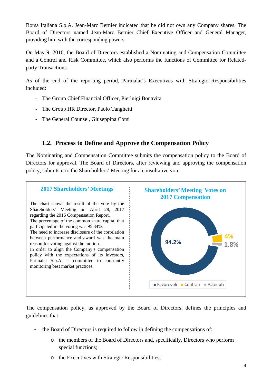Borsa Italiana S.p.A. Jean-Marc Bernier indicated that he did not own any Company shares. The Board of Directors named Jean-Marc Bernier Chief Executive Officer and General Manager, providing him with the corresponding powers.

On May 9, 2016, the Board of Directors established a Nominating and Compensation Committee and a Control and Risk Committee, which also performs the functions of Committee for Relatedparty Transactions.

As of the end of the reporting period, Parmalat's Executives with Strategic Responsibilities included:

- The Group Chief Financial Officer, Pierluigi Bonavita
- The Group HR Director, Paolo Tanghetti
- The General Counsel, Giuseppina Corsi

### **1.2. Process to Define and Approve the Compensation Policy**

The Nominating and Compensation Committee submits the compensation policy to the Board of Directors for approval. The Board of Directors, after reviewing and approving the compensation policy, submits it to the Shareholders' Meeting for a consultative vote.



The compensation policy, as approved by the Board of Directors, defines the principles and guidelines that:

- the Board of Directors is required to follow in defining the compensations of:
	- o the members of the Board of Directors and, specifically, Directors who perform special functions;
	- o the Executives with Strategic Responsibilities;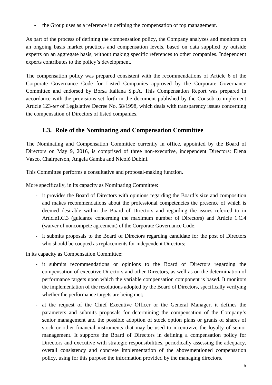- the Group uses as a reference in defining the compensation of top management.

As part of the process of defining the compensation policy, the Company analyzes and monitors on an ongoing basis market practices and compensation levels, based on data supplied by outside experts on an aggregate basis, without making specific references to other companies. Independent experts contributes to the policy's development.

The compensation policy was prepared consistent with the recommendations of Article 6 of the Corporate Governance Code for Listed Companies approved by the Corporate Governance Committee and endorsed by Borsa Italiana S.p.A. This Compensation Report was prepared in accordance with the provisions set forth in the document published by the Consob to implement Article 123-*ter* of Legislative Decree No. 58/1998, which deals with transparency issues concerning the compensation of Directors of listed companies.

### **1.3. Role of the Nominating and Compensation Committee**

The Nominating and Compensation Committee currently in office, appointed by the Board of Directors on May 9, 2016, is comprised of three non-executive, independent Directors: Elena Vasco, Chairperson, Angela Gamba and Nicolò Dubini.

This Committee performs a consultative and proposal-making function.

More specifically, in its capacity as Nominating Committee:

- it provides the Board of Directors with opinions regarding the Board's size and composition and makes recommendations about the professional competencies the presence of which is deemed desirable within the Board of Directors and regarding the issues referred to in Article1.C.3 (guidance concerning the maximum number of Directors) and Article 1.C.4 (waiver of noncompete agreement) of the Corporate Governance Code;
- it submits proposals to the Board of Directors regarding candidate for the post of Directors who should be coopted as replacements for independent Directors;

in its capacity as Compensation Committee:

- it submits recommendations or opinions to the Board of Directors regarding the compensation of executive Directors and other Directors, as well as on the determination of performance targets upon which the variable compensation component is based. It monitors the implementation of the resolutions adopted by the Board of Directors, specifically verifying whether the performance targets are being met;
- at the request of the Chief Executive Officer or the General Manager, it defines the parameters and submits proposals for determining the compensation of the Company's senior management and the possible adoption of stock option plans or grants of shares of stock or other financial instruments that may be used to incentivize the loyalty of senior management. It supports the Board of Directors in defining a compensation policy for Directors and executive with strategic responsibilities, periodically assessing the adequacy, overall consistency and concrete implementation of the abovementioned compensation policy, using for this purpose the information provided by the managing directors.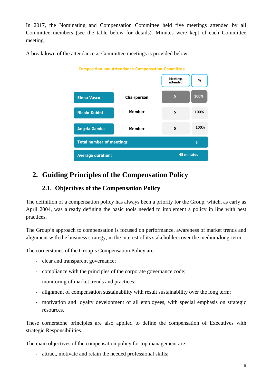In 2017, the Nominating and Compensation Committee held five meetings attended by all Committee members (see the table below for details). Minutes were kept of each Committee meeting.

A breakdown of the attendance at Committee meetings is provided below:



# **2. Guiding Principles of the Compensation Policy**

### **2.1. Objectives of the Compensation Policy**

The definition of a compensation policy has always been a priority for the Group, which, as early as April 2004, was already defining the basic tools needed to implement a policy in line with best practices.

The Group's approach to compensation is focused on performance, awareness of market trends and alignment with the business strategy, in the interest of its stakeholders over the medium/long-term.

The cornerstones of the Group's Compensation Policy are:

- clear and transparent governance;
- compliance with the principles of the corporate governance code;
- monitoring of market trends and practices;
- alignment of compensation sustainability with result sustainability over the long term;
- motivation and loyalty development of all employees, with special emphasis on strategic resources.

These cornerstone principles are also applied to define the compensation of Executives with strategic Responsibilities.

The main objectives of the compensation policy for top management are:

- attract, motivate and retain the needed professional skills;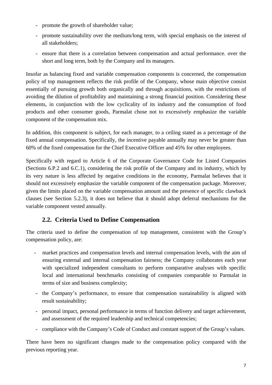- promote the growth of shareholder value;
- promote sustainability over the medium/long term, with special emphasis on the interest of all stakeholders;
- ensure that there is a correlation between compensation and actual performance. over the short and long term, both by the Company and its managers.

Insofar as balancing fixed and variable compensation components is concerned, the compensation policy of top management reflects the risk profile of the Company, whose main objective consist essentially of pursuing growth both organically and through acquisitions, with the restrictions of avoiding the dilution of profitability and maintaining a strong financial position. Considering these elements, in conjunction with the low cyclicality of its industry and the consumption of food products and other consumer goods, Parmalat chose not to excessively emphasize the variable component of the compensation mix.

In addition, this component is subject, for each manager, to a ceiling stated as a percentage of the fixed annual compensation. Specifically, the incentive payable annually may never be greater than 60% of the fixed compensation for the Chief Executive Officer and 45% for other employees.

Specifically with regard to Article 6 of the Corporate Governance Code for Listed Companies (Sections 6.P.2 and 6.C.1), considering the risk profile of the Company and its industry, which by its very nature is less affected by negative conditions in the economy, Parmalat believes that it should not excessively emphasize the variable component of the compensation package. Moreover, given the limits placed on the variable compensation amount and the presence of specific clawback clauses (see Section 5.2.3), it does not believe that it should adopt deferral mechanisms for the variable component vested annually.

### **2.2. Criteria Used to Define Compensation**

The criteria used to define the compensation of top management, consistent with the Group's compensation policy, are:

- market practices and compensation levels and internal compensation levels, with the aim of ensuring external and internal compensation fairness; the Company collaborates each year with specialized independent consultants to perform comparative analyses with specific local and international benchmarks consisting of companies comparable to Parmalat in terms of size and business complexity;
- the Company's performance, to ensure that compensation sustainability is aligned with result sustainability;
- personal impact, personal performance in terms of function delivery and target achievement, and assessment of the required leadership and technical competencies;
- compliance with the Company's Code of Conduct and constant support of the Group's values.

There have been no significant changes made to the compensation policy compared with the previous reporting year.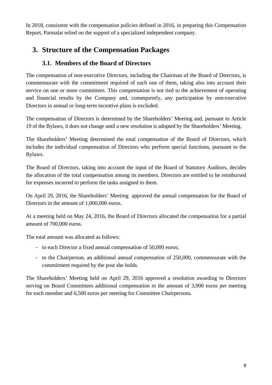In 2018, consistent with the compensation policies defined in 2016, in preparing this Compensation Report, Parmalat relied on the support of a specialized independent company.

## **3. Structure of the Compensation Packages**

### **3.1. Members of the Board of Directors**

The compensation of non-executive Directors, including the Chairman of the Board of Directors, is commensurate with the commitment required of each one of them, taking also into account their service on one or more committees. This compensation is not tied to the achievement of operating and financial results by the Company and, consequently, any participation by non-executive Directors in annual or long-term incentive plans is excluded.

The compensation of Directors is determined by the Shareholders' Meeting and, pursuant to Article 19 of the Bylaws, it does not change until a new resolution is adopted by the Shareholders' Meeting.

The Shareholders' Meeting determined the total compensation of the Board of Directors, which includes the individual compensation of Directors who perform special functions, pursuant to the Bylaws.

The Board of Directors, taking into account the input of the Board of Statutory Auditors, decides the allocation of the total compensation among its members. Directors are entitled to be reimbursed for expenses incurred to perform the tasks assigned to them.

On April 29, 2016, the Shareholders' Meeting approved the annual compensation for the Board of Directors in the amount of 1,000,000 euros.

At a meeting held on May 24, 2016, the Board of Directors allocated the compensation for a partial amount of 700,000 euros.

The total amount was allocated as follows:

- to each Director a fixed annual compensation of 50,000 euros;
- to the Chairperson, an additional annual compensation of 250,000, commensurate with the commitment required by the post she holds.

The Shareholders' Meeting held on April 29, 2016 approved a resolution awarding to Directors serving on Board Committees additional compensation in the amount of 3,900 euros per meeting for each member and 6,500 euros per meeting for Committee Chairpersons.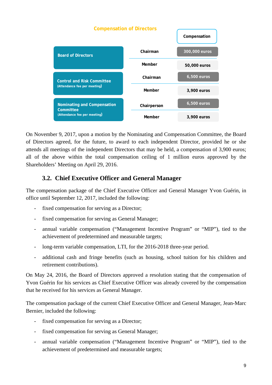

On November 9, 2017, upon a motion by the Nominating and Compensation Committee, the Board of Directors agreed, for the future, to award to each independent Director, provided he or she attends all meetings of the independent Directors that may be held, a compensation of 3,900 euros; all of the above within the total compensation ceiling of 1 million euros approved by the Shareholders' Meeting on April 29, 2016.

### **3.2. Chief Executive Officer and General Manager**

The compensation package of the Chief Executive Officer and General Manager Yvon Guérin, in office until September 12, 2017, included the following:

- fixed compensation for serving as a Director;
- fixed compensation for serving as General Manager;
- annual variable compensation ("Management Incentive Program" or "MIP"), tied to the achievement of predetermined and measurable targets;
- long-term variable compensation, LTI, for the 2016-2018 three-year period.
- additional cash and fringe benefits (such as housing, school tuition for his children and retirement contributions).

On May 24, 2016, the Board of Directors approved a resolution stating that the compensation of Yvon Guérin for his services as Chief Executive Officer was already covered by the compensation that he received for his services as General Manager.

The compensation package of the current Chief Executive Officer and General Manager, Jean-Marc Bernier, included the following:

- fixed compensation for serving as a Director;
- fixed compensation for serving as General Manager;
- annual variable compensation ("Management Incentive Program" or "MIP"), tied to the achievement of predetermined and measurable targets;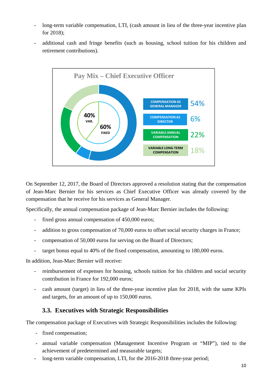- long-term variable compensation, LTI, (cash amount in lieu of the three-year incentive plan for 2018);
- additional cash and fringe benefits (such as housing, school tuition for his children and retirement contributions).



On September 12, 2017, the Board of Directors approved a resolution stating that the compensation of Jean-Marc Bernier for his services as Chief Executive Officer was already covered by the compensation that he receive for his services as General Manager.

Specifically, the annual compensation package of Jean-Marc Bernier includes the following:

- fixed gross annual compensation of 450,000 euros;
- addition to gross compensation of 70,000 euros to offset social security charges in France;
- compensation of 50,000 euros for serving on the Board of Directors;
- target bonus equal to 40% of the fixed compensation, amounting to 180,000 euros.

In addition, Jean-Marc Bernier will receive:

- reimbursement of expenses for housing, schools tuition for his children and social security contribution in France for 192,000 euros;
- cash amount (target) in lieu of the three-year incentive plan for 2018, with the same KPIs and targets, for an amount of up to 150,000 euros.

### **3.3. Executives with Strategic Responsibilities**

The compensation package of Executives with Strategic Responsibilities includes the following:

- fixed compensation;
- annual variable compensation (Management Incentive Program or "MIP"), tied to the achievement of predetermined and measurable targets;
- long-term variable compensation, LTI, for the 2016-2018 three-year period;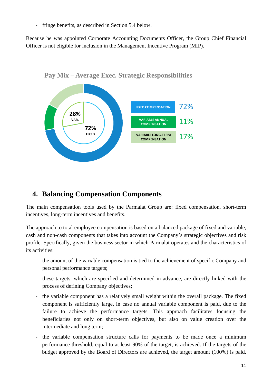fringe benefits, as described in Section 5.4 below.

Because he was appointed Corporate Accounting Documents Officer, the Group Chief Financial Officer is not eligible for inclusion in the Management Incentive Program (MIP).



**Pay Mix – Average Exec. Strategic Responsibilities**

### **4. Balancing Compensation Components**

The main compensation tools used by the Parmalat Group are: fixed compensation, short-term incentives, long-term incentives and benefits.

The approach to total employee compensation is based on a balanced package of fixed and variable, cash and non-cash components that takes into account the Company's strategic objectives and risk profile. Specifically, given the business sector in which Parmalat operates and the characteristics of its activities:

- the amount of the variable compensation is tied to the achievement of specific Company and personal performance targets;
- these targets, which are specified and determined in advance, are directly linked with the process of defining Company objectives;
- the variable component has a relatively small weight within the overall package. The fixed component is sufficiently large, in case no annual variable component is paid, due to the failure to achieve the performance targets. This approach facilitates focusing the beneficiaries not only on short-term objectives, but also on value creation over the intermediate and long term;
- the variable compensation structure calls for payments to be made once a minimum performance threshold, equal to at least 90% of the target, is achieved. If the targets of the budget approved by the Board of Directors are achieved, the target amount (100%) is paid.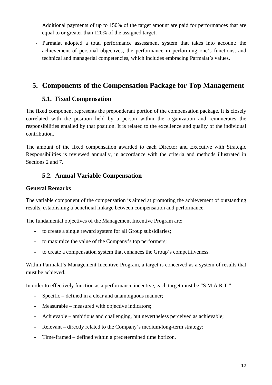Additional payments of up to 150% of the target amount are paid for performances that are equal to or greater than 120% of the assigned target;

- Parmalat adopted a total performance assessment system that takes into account: the achievement of personal objectives, the performance in performing one's functions, and technical and managerial competencies, which includes embracing Parmalat's values.

### **5. Components of the Compensation Package for Top Management**

### **5.1. Fixed Compensation**

The fixed component represents the preponderant portion of the compensation package. It is closely correlated with the position held by a person within the organization and remunerates the responsibilities entailed by that position. It is related to the excellence and quality of the individual contribution.

The amount of the fixed compensation awarded to each Director and Executive with Strategic Responsibilities is reviewed annually, in accordance with the criteria and methods illustrated in Sections 2 and 7.

### **5.2. Annual Variable Compensation**

### **General Remarks**

The variable component of the compensation is aimed at promoting the achievement of outstanding results, establishing a beneficial linkage between compensation and performance.

The fundamental objectives of the Management Incentive Program are:

- to create a single reward system for all Group subsidiaries;
- to maximize the value of the Company's top performers;
- to create a compensation system that enhances the Group's competitiveness.

Within Parmalat's Management Incentive Program, a target is conceived as a system of results that must be achieved.

In order to effectively function as a performance incentive, each target must be "S.M.A.R.T.":

- Specific defined in a clear and unambiguous manner;
- Measurable measured with objective indicators;
- Achievable ambitious and challenging, but nevertheless perceived as achievable;
- Relevant directly related to the Company's medium/long-term strategy;
- Time-framed defined within a predetermined time horizon.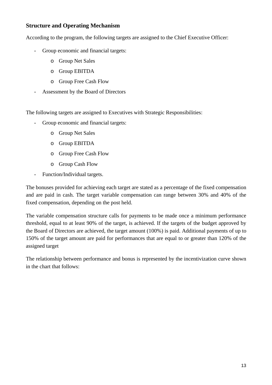#### **Structure and Operating Mechanism**

According to the program, the following targets are assigned to the Chief Executive Officer:

- Group economic and financial targets:
	- o Group Net Sales
	- o Group EBITDA
	- o Group Free Cash Flow
- Assessment by the Board of Directors

The following targets are assigned to Executives with Strategic Responsibilities:

- Group economic and financial targets:
	- o Group Net Sales
	- o Group EBITDA
	- o Group Free Cash Flow
	- o Group Cash Flow
- Function/Individual targets.

The bonuses provided for achieving each target are stated as a percentage of the fixed compensation and are paid in cash. The target variable compensation can range between 30% and 40% of the fixed compensation, depending on the post held.

The variable compensation structure calls for payments to be made once a minimum performance threshold, equal to at least 90% of the target, is achieved. If the targets of the budget approved by the Board of Directors are achieved, the target amount (100%) is paid. Additional payments of up to 150% of the target amount are paid for performances that are equal to or greater than 120% of the assigned target

The relationship between performance and bonus is represented by the incentivization curve shown in the chart that follows: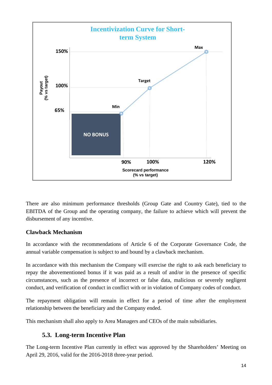

There are also minimum performance thresholds (Group Gate and Country Gate), tied to the EBITDA of the Group and the operating company, the failure to achieve which will prevent the disbursement of any incentive.

#### **Clawback Mechanism**

In accordance with the recommendations of Article 6 of the Corporate Governance Code, the annual variable compensation is subject to and bound by a clawback mechanism.

In accordance with this mechanism the Company will exercise the right to ask each beneficiary to repay the abovementioned bonus if it was paid as a result of and/or in the presence of specific circumstances, such as the presence of incorrect or false data, malicious or severely negligent conduct, and verification of conduct in conflict with or in violation of Company codes of conduct.

The repayment obligation will remain in effect for a period of time after the employment relationship between the beneficiary and the Company ended.

This mechanism shall also apply to Area Managers and CEOs of the main subsidiaries.

### **5.3. Long-term Incentive Plan**

The Long-term Incentive Plan currently in effect was approved by the Shareholders' Meeting on April 29, 2016, valid for the 2016-2018 three-year period.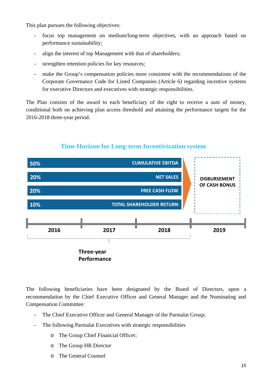This plan pursues the following objectives:

- focus top management on medium/long-term objectives, with an approach based on performance sustainability;
- align the interest of top Management with that of shareholders;
- strengthen retention policies for key resources;
- make the Group's compensation policies more consistent with the recommendations of the Corporate Governance Code for Listed Companies (Article 6) regarding incentive systems for executive Directors and executives with strategic responsibilities.

The Plan consists of the award to each beneficiary of the right to receive a sum of money, conditional both on achieving plan access threshold and attaining the performance targets for the 2016-2018 three-year period.



### **Time Horizon for Long-term Incentivization system**

The following beneficiaries have been designated by the Board of Directors, upon a recommendation by the Chief Executive Officer and General Manager and the Nominating and Compensation Committee:

- The Chief Executive Officer and General Manager of the Parmalat Group;
- The following Parmalat Executives with strategic responsibilities
	- o The Group Chief Financial Officer;
	- o The Group HR Director
	- o The General Counsel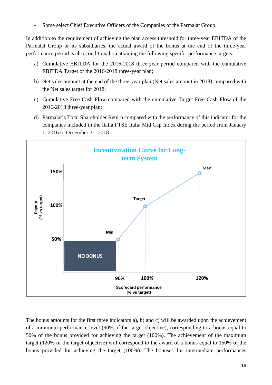Some select Chief Executive Officers of the Companies of the Parmalat Group.

In addition to the requirement of achieving the plan access threshold for three-year EBITDA of the Parmalat Group or its subsidiaries, the actual award of the bonus at the end of the three-year performance period is also conditional on attaining the following specific performance targets:

- a) Cumulative EBITDA for the 2016-2018 three-year period compared with the cumulative EBITDA Target of the 2016-2018 three-year plan;
- b) Net sales amount at the end of the three-year plan (Net sales amount in 2018) compared with the Net sales target for 2018;
- c) Cumulative Free Cash Flow compared with the cumulative Target Free Cash Flow of the 2016-2018 three-year plan;
- d) Parmalat's Total Shareholder Return compared with the performance of this indicator for the companies included in the Italia FTSE Italia Mid Cap Index during the period from January 1, 2016 to December 31, 2018.



The bonus amounts for the first three indicators a), b) and c) will be awarded upon the achievement of a minimum performance level (90% of the target objective), corresponding to a bonus equal to 50% of the bonus provided for achieving the target (100%). The achievement of the maximum target (120% of the target objective) will correspond to the award of a bonus equal to 150% of the bonus provided for achieving the target (100%). The bonuses for intermediate performances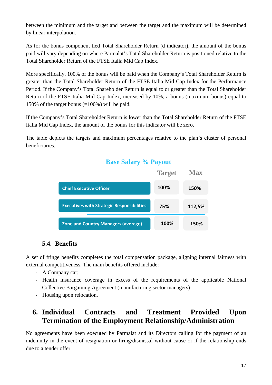between the minimum and the target and between the target and the maximum will be determined by linear interpolation.

As for the bonus component tied Total Shareholder Return (d indicator), the amount of the bonus paid will vary depending on where Parmalat's Total Shareholder Return is positioned relative to the Total Shareholder Return of the FTSE Italia Mid Cap Index.

More specifically, 100% of the bonus will be paid when the Company's Total Shareholder Return is greater than the Total Shareholder Return of the FTSE Italia Mid Cap Index for the Performance Period. If the Company's Total Shareholder Return is equal to or greater than the Total Shareholder Return of the FTSE Italia Mid Cap Index, increased by 10%, a bonus (maximum bonus) equal to 150% of the target bonus (=100%) will be paid.

If the Company's Total Shareholder Return is lower than the Total Shareholder Return of the FTSE Italia Mid Cap Index, the amount of the bonus for this indicator will be zero.

The table depicts the targets and maximum percentages relative to the plan's cluster of personal beneficiaries.

### **Base Salary % Payout**



### **5.4. Benefits**

A set of fringe benefits completes the total compensation package, aligning internal fairness with external competitiveness. The main benefits offered include:

- A Company car;
- Health insurance coverage in excess of the requirements of the applicable National Collective Bargaining Agreement (manufacturing sector managers);
- Housing upon relocation.

## **6. Individual Contracts and Treatment Provided Upon Termination of the Employment Relationship/Administration**

No agreements have been executed by Parmalat and its Directors calling for the payment of an indemnity in the event of resignation or firing/dismissal without cause or if the relationship ends due to a tender offer.